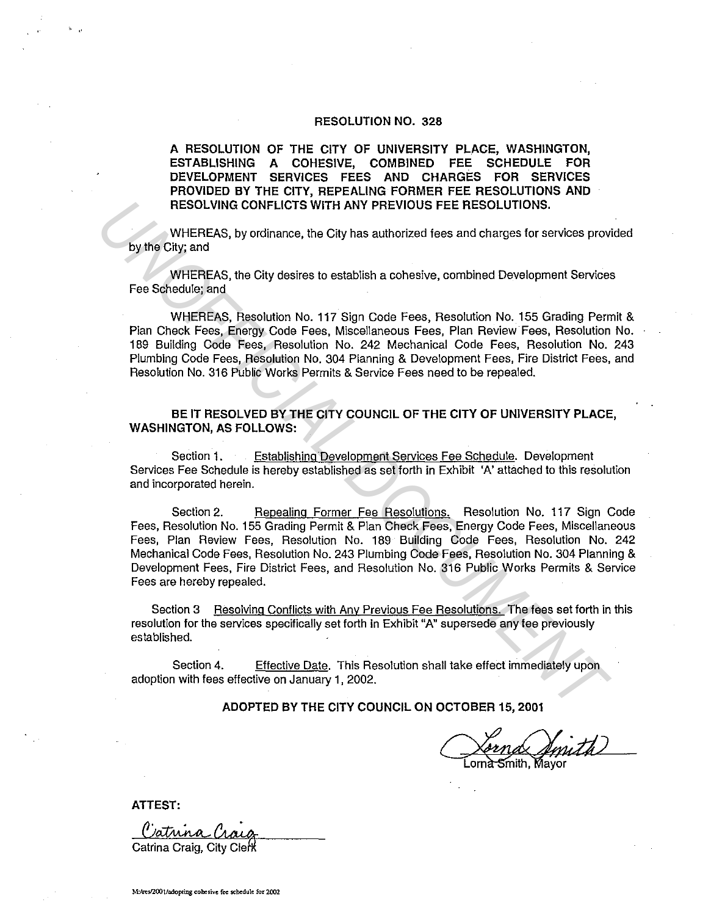#### RESOLUTION NO. 328

A RESOLUTION OF THE CITY OF UNIVERSITY PLACE, WASHINGTON, ESTABLISHING A COHESIVE, COMBINED FEE SCHEDULE FOR DEVELOPMENT SERVICES FEES AND CHARGES FOR SERVICES PROVIDED BY THE CITY, REPEALING FORMER FEE RESOLUTIONS AND RESOLVING CONFLICTS WITH ANY PREVIOUS FEE RESOLUTIONS.

WHEREAS, by ordinance, the City has authorized fees and charges for services provided by the City; and

WHEREAS, the City desires to establish a cohesive, combined Development Services Fee Schedule; and

WHEREAS, Resolution No. 117 Sign Code Fees, Resolution No. 155 Grading Permit & Plan Check Fees, Energy Code Fees, Miscellaneous Fees, Plan Review Fees, Resolution No. 189 Building Code Fees, Resolution No. 242 Mechanical Code Fees, Resolution No. 243 Plumbing Code Fees, Resolution No. 304 Planning & Development Fees, Fire District Fees, and Resolution No. 316 Public Works Permits & Service Fees need to be repealed.

BE IT RESOLVED BY THE CITY COUNCIL OF THE CITY OF UNIVERSITY PLACE, WASHINGTON, AS FOLLOWS:

Section 1. Establishing Development Services Fee Schedule. Development Services Fee Schedule is hereby established as set forth in Exhibit 'A' attached to this resolution and incorporated herein.

Section 2. Repealing Former Fee Resolutions. Resolution No. 117 Sign Code Fees, Resolution No. 155 Grading Permit & Plan Check Fees, Energy Code Fees, Miscellaneous Fees, Plan Review Fees, Resolution No. 189 Building Code Fees, Resolution No. 242 Mechanical Code Fees, Resolution No. 243 Plumbing Code Fees, Resolution No. 304 Planning & Development Fees, Fire District Fees, and Resolution No. 316 Public Works Permits & Service Fees are hereby repealed. **EXECUTIONS.**<br>
WHEREAS, by ordinance, the City has authorized fees and charges for services provides when City, and<br>
Dy the City, and<br>
WHEREAS, the City desires to establish a cohesive, combined Development Services<br>
Fee S

Section 3 Resolving Conflicts with Any Previous Fee Resolutions. The fees set forth in this resolution for the services specifically set forth in Exhibit "A" supersede any fee previously established.

Section 4. Effective Date. This Resolution shall take effect immediately upon adoption with fees effective on January 1, 2002.

ADOPTED BY THE CITY COUNCIL ON OCTOBER 15, 2001

mith, Mayor

ATTEST:

. "

 $\theta$  istring  $\theta$ Catrina Craig, City Clerk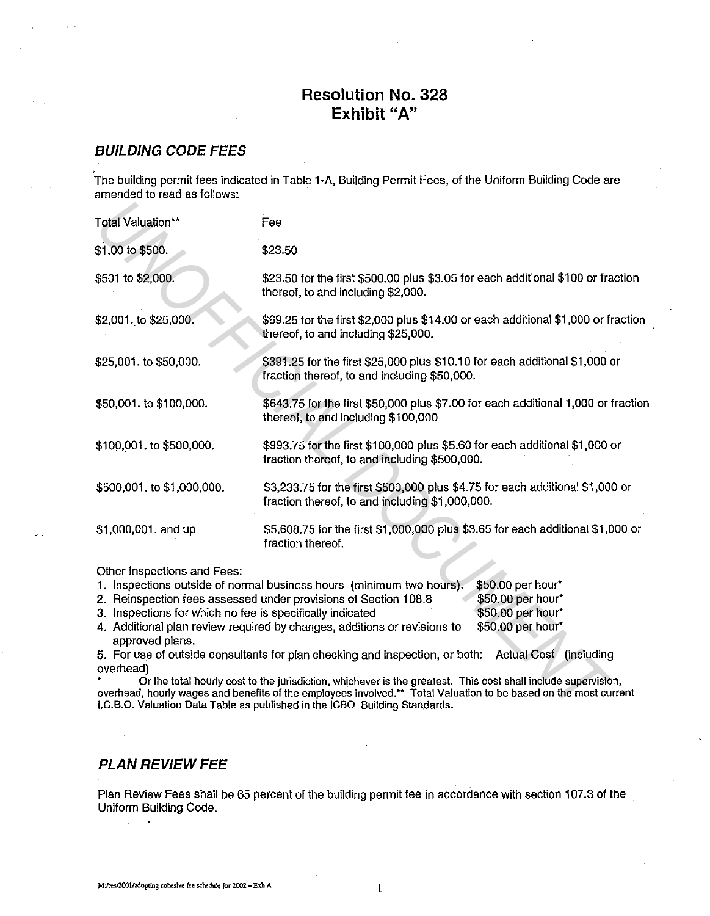# **Resolution No. 328 Exhibit "A"**

## **BUILDING CODE FEES**

The building permit fees indicated in Table 1-A, Building Permit Fees, of the Uniform Building Code are amended to read as follows:

| Total Valuation**                                                                                                                                                                                                                                                                                                                                                                                                                                                                                                                                                                                                                                                                                                                                                                                                                                                | Fee                                                                                                                              |  |
|------------------------------------------------------------------------------------------------------------------------------------------------------------------------------------------------------------------------------------------------------------------------------------------------------------------------------------------------------------------------------------------------------------------------------------------------------------------------------------------------------------------------------------------------------------------------------------------------------------------------------------------------------------------------------------------------------------------------------------------------------------------------------------------------------------------------------------------------------------------|----------------------------------------------------------------------------------------------------------------------------------|--|
| \$1.00 to \$500.                                                                                                                                                                                                                                                                                                                                                                                                                                                                                                                                                                                                                                                                                                                                                                                                                                                 | \$23.50                                                                                                                          |  |
| \$501 to \$2,000.                                                                                                                                                                                                                                                                                                                                                                                                                                                                                                                                                                                                                                                                                                                                                                                                                                                | \$23.50 for the first \$500.00 plus \$3.05 for each additional \$100 or fraction<br>thereof, to and including \$2,000.           |  |
| \$2,001. to \$25,000.                                                                                                                                                                                                                                                                                                                                                                                                                                                                                                                                                                                                                                                                                                                                                                                                                                            | \$69.25 for the first \$2,000 plus \$14.00 or each additional \$1,000 or fraction<br>thereof, to and including \$25,000.         |  |
| \$25,001. to \$50,000.                                                                                                                                                                                                                                                                                                                                                                                                                                                                                                                                                                                                                                                                                                                                                                                                                                           | \$391.25 for the first \$25,000 plus \$10.10 for each additional \$1,000 or<br>fraction thereof, to and including \$50,000.      |  |
| \$50,001. to \$100,000.                                                                                                                                                                                                                                                                                                                                                                                                                                                                                                                                                                                                                                                                                                                                                                                                                                          | \$643.75 for the first \$50,000 plus \$7.00 for each additional 1,000 or fraction<br>thereof, to and including \$100,000         |  |
| \$100,001. to \$500,000.                                                                                                                                                                                                                                                                                                                                                                                                                                                                                                                                                                                                                                                                                                                                                                                                                                         | \$993.75 for the first \$100,000 plus \$5.60 for each additional \$1,000 or<br>fraction thereof, to and including \$500,000.     |  |
| \$500,001. to \$1,000,000.                                                                                                                                                                                                                                                                                                                                                                                                                                                                                                                                                                                                                                                                                                                                                                                                                                       | \$3,233.75 for the first \$500,000 plus \$4.75 for each additional \$1,000 or<br>fraction thereof, to and including \$1,000,000. |  |
| \$1,000,001. and up                                                                                                                                                                                                                                                                                                                                                                                                                                                                                                                                                                                                                                                                                                                                                                                                                                              | \$5,608.75 for the first \$1,000,000 plus \$3.65 for each additional \$1,000 or<br>fraction thereof.                             |  |
| Other Inspections and Fees:<br>\$50.00 per hour*<br>1. Inspections outside of normal business hours (minimum two hours).<br>\$50.00 per hour*<br>2. Reinspection fees assessed under provisions of Section 108.8<br>\$50.00 per hour*<br>3. Inspections for which no fee is specifically indicated<br>\$50,00 per hour*<br>4. Additional plan review required by changes, additions or revisions to<br>approved plans.<br>5. For use of outside consultants for plan checking and inspection, or both:<br>Actual Cost (including<br>overhead)<br>Or the total hourly cost to the jurisdiction, whichever is the greatest. This cost shall include supervision,<br>overhead, hourly wages and benefits of the employees involved.** Total Valuation to be based on the most current<br>I.C.B.O. Valuation Data Table as published in the ICBO Building Standards. |                                                                                                                                  |  |

| 1. Inspections outside of normal business hours (minimum two hours). | $$50.00$ per hour* |
|----------------------------------------------------------------------|--------------------|
| 2. Reinspection fees assessed under provisions of Section 108.8      | \$50.00 per hour*  |
| 3. Inspections for which no fee is specifically indicated            | \$50.00 per hour*  |
|                                                                      |                    |

# **PLAN REVIEW FEE**

Plan Review Fees shall be 65 percent of the building permit fee in accordance with section 107 .3 of the Uniform Building Code.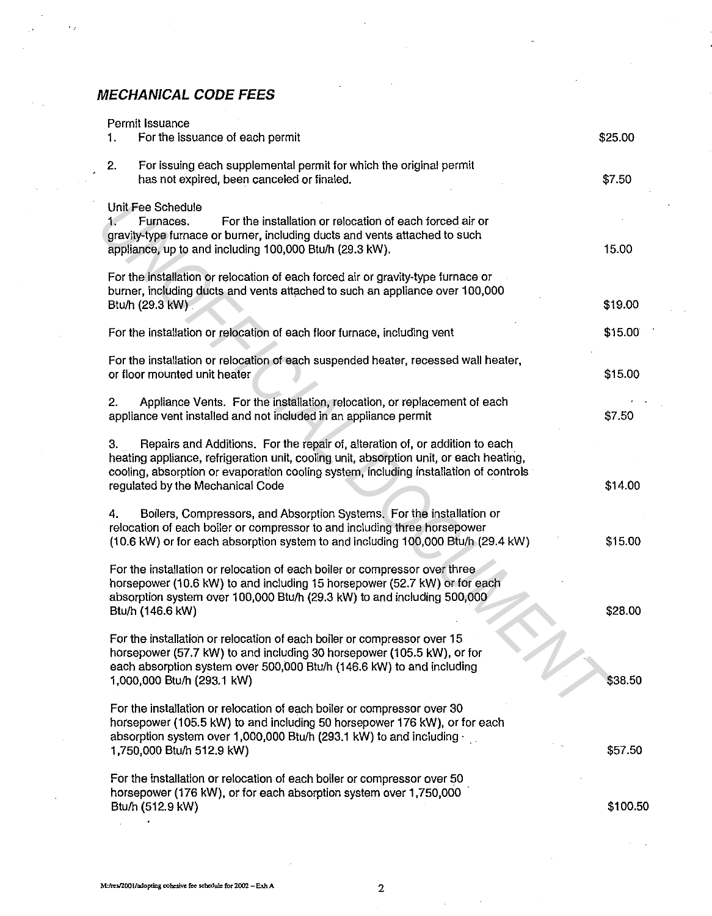# **MECHANICAL CODE FEES**

k.

| Permit Issuance<br>For the issuance of each permit<br>1.                                                                                                                                                                                                                                                  | \$25.00  |
|-----------------------------------------------------------------------------------------------------------------------------------------------------------------------------------------------------------------------------------------------------------------------------------------------------------|----------|
| 2.<br>For issuing each supplemental permit for which the original permit<br>has not expired, been canceled or finaled.                                                                                                                                                                                    | \$7.50   |
| Unit Fee Schedule<br>For the installation or relocation of each forced air or<br>Furnaces.<br>$1^{\circ}$<br>gravity-type furnace or burner, including ducts and vents attached to such<br>appliance, up to and including 100,000 Btu/h (29.3 kW).                                                        | 15.00    |
| For the installation or relocation of each forced air or gravity-type furnace or<br>burner, including ducts and vents attached to such an appliance over 100,000<br>Btu/h (29.3 kW)                                                                                                                       | \$19.00  |
| For the installation or relocation of each floor furnace, including vent                                                                                                                                                                                                                                  | \$15.00  |
| For the installation or relocation of each suspended heater, recessed wall heater,<br>or floor mounted unit heater                                                                                                                                                                                        | \$15.00  |
| Appliance Vents. For the installation, relocation, or replacement of each<br>2.<br>appliance vent installed and not included in an appliance permit                                                                                                                                                       | \$7.50   |
| Repairs and Additions. For the repair of, alteration of, or addition to each<br>3.<br>heating appliance, refrigeration unit, cooling unit, absorption unit, or each heating,<br>cooling, absorption or evaporation cooling system, including installation of controls<br>regulated by the Mechanical Code | \$14.00  |
| Boilers, Compressors, and Absorption Systems. For the installation or<br>4.<br>relocation of each boiler or compressor to and including three horsepower<br>(10.6 kW) or for each absorption system to and including 100,000 Btu/h (29.4 kW)                                                              | \$15.00  |
| For the installation or relocation of each boiler or compressor over three<br>horsepower (10.6 kW) to and including 15 horsepower (52.7 kW) or for each<br>absorption system over 100,000 Btu/h (29.3 kW) to and including 500,000<br>Btu/h (146.6 kW)                                                    | \$28.00  |
| For the installation or relocation of each boiler or compressor over 15<br>horsepower (57.7 kW) to and including 30 horsepower (105.5 kW), or for<br>each absorption system over 500,000 Btu/h (146.6 kW) to and including<br>1,000,000 Btu/h (293.1 kW)                                                  | \$38.50  |
| For the installation or relocation of each boiler or compressor over 30<br>horsepower (105.5 kW) to and including 50 horsepower 176 kW), or for each<br>absorption system over 1,000,000 Btu/h (293.1 kW) to and including ·<br>1,750,000 Btu/h 512.9 kW)                                                 | \$57.50  |
| For the installation or relocation of each boiler or compressor over 50<br>horsepower (176 kW), or for each absorption system over 1,750,000<br>Btu/h (512.9 kW)                                                                                                                                          | \$100.50 |
|                                                                                                                                                                                                                                                                                                           |          |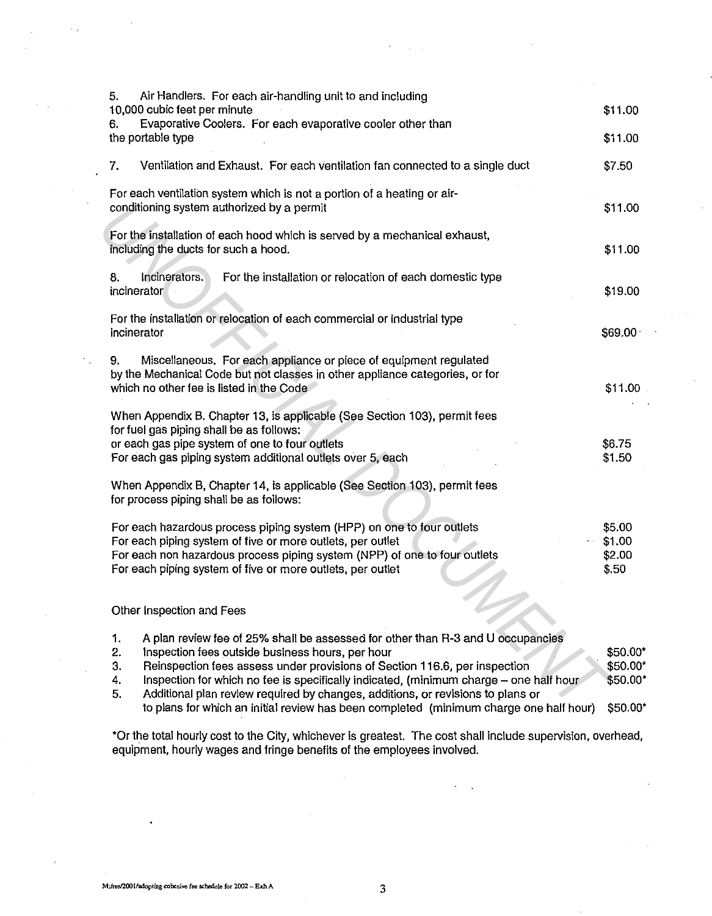| Air Handlers. For each air-handling unit to and including<br>5.<br>10,000 cubic feet per minute                                                                                 | \$11.00          |
|---------------------------------------------------------------------------------------------------------------------------------------------------------------------------------|------------------|
| Evaporative Coolers. For each evaporative cooler other than<br>6.                                                                                                               |                  |
| the portable type                                                                                                                                                               | \$11.00          |
|                                                                                                                                                                                 |                  |
| Ventilation and Exhaust. For each ventilation fan connected to a single duct<br>7.                                                                                              | \$7.50           |
| For each ventilation system which is not a portion of a heating or air-<br>conditioning system authorized by a permit                                                           | \$11.00          |
|                                                                                                                                                                                 |                  |
| For the installation of each hood which is served by a mechanical exhaust,<br>including the ducts for such a hood.                                                              | \$11.00          |
| Incinerators.<br>For the installation or relocation of each domestic type<br>8.                                                                                                 |                  |
| incinerator                                                                                                                                                                     | \$19.00          |
| For the installation or relocation of each commercial or industrial type                                                                                                        |                  |
| incinerator                                                                                                                                                                     | \$69.00          |
|                                                                                                                                                                                 |                  |
| Miscellaneous. For each appliance or piece of equipment regulated<br>9.<br>by the Mechanical Code but not classes in other appliance categories, or for                         |                  |
| which no other fee is listed in the Code                                                                                                                                        | \$11.00          |
|                                                                                                                                                                                 |                  |
| When Appendix B. Chapter 13, is applicable (See Section 103), permit fees<br>for fuel gas piping shall be as follows:                                                           |                  |
| or each gas pipe system of one to four outlets                                                                                                                                  | \$6.75           |
| For each gas piping system additional outlets over 5, each                                                                                                                      | \$1.50           |
| When Appendix B, Chapter 14, is applicable (See Section 103), permit fees                                                                                                       |                  |
| for process piping shall be as follows:                                                                                                                                         |                  |
|                                                                                                                                                                                 |                  |
| For each hazardous process piping system (HPP) on one to four outlets<br>For each piping system of five or more outlets, per outlet                                             | \$5.00<br>\$1.00 |
| For each non hazardous process piping system (NPP) of one to four outlets                                                                                                       | \$2.00           |
| For each piping system of five or more outlets, per outlet                                                                                                                      | \$.50            |
|                                                                                                                                                                                 |                  |
| Other Inspection and Fees                                                                                                                                                       |                  |
| A plan review fee of 25% shall be assessed for other than R-3 and U occupancies<br>1.                                                                                           |                  |
| 2.<br>Inspection fees outside business hours, per hour                                                                                                                          | \$50.00*         |
| 3.<br>Reinspection fees assess under provisions of Section 116.6, per inspection                                                                                                | \$50.00*         |
| Inspection for which no fee is specifically indicated, (minimum charge - one half hour<br>4.                                                                                    | \$50.00*         |
| Additional plan review required by changes, additions, or revisions to plans or<br>5.<br>to plans for which an initial review has been completed (minimum charge one half hour) | \$50.00*         |

to plans for which an initial review has been completed (minimum charge one half hour) \$50.00'

•or the total hourly cost to the City, whichever is greatest. The cost shall include supervision, overhead, equipment, hourly wages and fringe benefits of the employees involved.

 $\mathcal{L}_{\mathcal{A}}$  .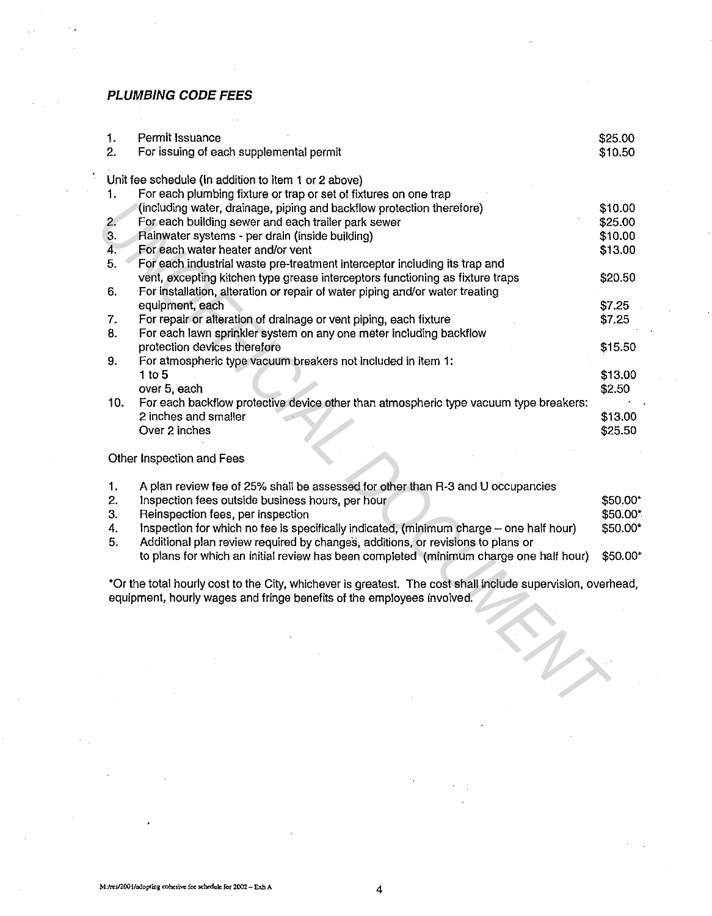### **PLUMBING CODE FEES**

| 1.               | Permit Issuance                                                                                             | \$25.00  |
|------------------|-------------------------------------------------------------------------------------------------------------|----------|
| $\overline{2}$ . | For issuing of each supplemental permit                                                                     | \$10.50  |
|                  |                                                                                                             |          |
|                  | Unit fee schedule (In addition to item 1 or 2 above)                                                        |          |
| 1.               | For each plumbing fixture or trap or set of fixtures on one trap                                            |          |
|                  | (including water, drainage, piping and backflow protection therefore)                                       | \$10.00  |
| 2.               | For each building sewer and each trailer park sewer                                                         | \$25.00  |
| 3.               | Rainwater systems - per drain (inside building)                                                             | \$10.00  |
| 4.               | For each water heater and/or vent                                                                           | \$13.00  |
| 5.               | For each industrial waste pre-treatment interceptor including its trap and                                  |          |
|                  | vent, excepting kitchen type grease interceptors functioning as fixture traps                               | \$20.50  |
| 6.               | For installation, alteration or repair of water piping and/or water treating                                |          |
|                  | equipment, each                                                                                             | \$7.25   |
| 7.               | For repair or alteration of drainage or vent piping, each fixture                                           | \$7,25   |
| 8.               | For each lawn sprinkler system on any one meter including backflow                                          |          |
|                  | protection devices therefore                                                                                | \$15.50  |
| 9.               | For atmospheric type vacuum breakers not included in item 1:                                                |          |
|                  | 1 to 5                                                                                                      | \$13.00  |
|                  | over 5, each                                                                                                | \$2.50   |
| 10.              | For each backflow protective device other than atmospheric type vacuum type breakers:                       |          |
|                  | 2 inches and smaller                                                                                        | \$13.00  |
|                  | Over 2 inches                                                                                               | \$25.50  |
|                  | Other Inspection and Fees                                                                                   |          |
|                  |                                                                                                             |          |
| 1.               | A plan review fee of 25% shall be assessed for other than R-3 and U occupancies                             |          |
| 2.               | Inspection fees outside business hours, per hour                                                            | \$50.00* |
| 3.               | Reinspection fees, per inspection                                                                           | \$50.00* |
| 4.               | Inspection for which no fee is specifically indicated, (minimum charge - one half hour)                     | \$50.00* |
| 5.               | Additional plan review required by changes, additions, or revisions to plans or                             |          |
|                  | to plans for which an initial review has been completed (minimum charge one half hour)                      | \$50.00* |
|                  |                                                                                                             |          |
|                  | *Or the total hourly cost to the City, whichever is greatest. The cost shall include supervision, overhead, |          |
|                  | equipment, hourly wages and fringe benefits of the employees involved.                                      |          |
|                  |                                                                                                             |          |
|                  |                                                                                                             |          |
|                  |                                                                                                             |          |
|                  |                                                                                                             |          |
|                  |                                                                                                             |          |
|                  |                                                                                                             |          |
|                  |                                                                                                             |          |
|                  |                                                                                                             |          |

|    | A plan review fee of 25% shall be assessed for other than R-3 and U occupancies         |          |
|----|-----------------------------------------------------------------------------------------|----------|
| 2. | Inspection fees outside business hours, per hour                                        | \$50.00* |
| 3. | Reinspection fees, per inspection                                                       | \$50.00* |
| 4. | Inspection for which no fee is specifically indicated, (minimum charge - one half hour) | \$50.00* |
| 5. | Additional plan review required by changes, additions, or revisions to plans or         |          |
|    | to plans for which an initial review has been completed (minimum charge one half hour)  | \$50.00* |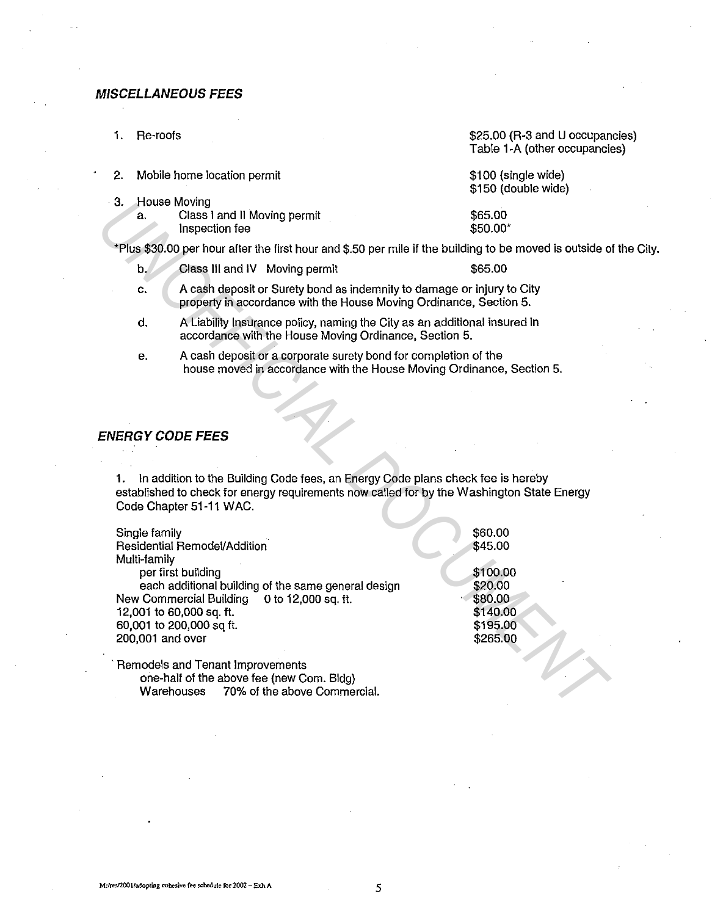#### **MISCELLANEOUS FEES**

1. Re-roofs

\$25.00 (R·3 and U occupancies) Table 1-A (other occupancies)

|    | Mobile home location permit  | \$100 (single wide)<br>\$150 (double wide) |
|----|------------------------------|--------------------------------------------|
|    | 3. House Moving              |                                            |
| а. | Class I and II Moving permit | \$65.00                                    |
|    | Inspection fee               | \$50.00*                                   |

Plus \$30.00 per hour after the first hour and \$.50 per mile if the building to be moved is outside of the City.

| b. | Class III and IV Moving permit |  | \$65.00 |
|----|--------------------------------|--|---------|
|----|--------------------------------|--|---------|

- c. A cash deposit or Surety bond as indemnity to damage or injury to City property in accordance with the House Moving Ordinance, Section 5.
- d. A Liability Insurance policy, naming the City as an additional insured in accordance with the House Moving Ordinance, Section 5.
- e. A cash deposit or a corporate surety bond for completion of the house moved in accordance with the House Moving Ordinance, Section 5.

## **ENERGY CODE FEES**

| 3. | <b>House Moving</b><br>а.                                       | Class I and II Moving permit<br>Inspection fee                                                                                                                            |                                                                                                                                                                               | \$65.00<br>\$50.00*                                                                      |  |
|----|-----------------------------------------------------------------|---------------------------------------------------------------------------------------------------------------------------------------------------------------------------|-------------------------------------------------------------------------------------------------------------------------------------------------------------------------------|------------------------------------------------------------------------------------------|--|
|    |                                                                 |                                                                                                                                                                           | *Plus \$30.00 per hour after the first hour and \$.50 per mile if the building to be moved is outside o                                                                       |                                                                                          |  |
|    | b.                                                              | Class III and IV Moving permit                                                                                                                                            |                                                                                                                                                                               | \$65.00                                                                                  |  |
|    | c.                                                              |                                                                                                                                                                           | A cash deposit or Surety bond as indemnity to damage or injury to City<br>property in accordance with the House Moving Ordinance, Section 5.                                  |                                                                                          |  |
|    | d.                                                              |                                                                                                                                                                           | A Liability Insurance policy, naming the City as an additional insured in<br>accordance with the House Moving Ordinance, Section 5.                                           |                                                                                          |  |
|    | е.                                                              |                                                                                                                                                                           | A cash deposit or a corporate surety bond for completion of the<br>house moved in accordance with the House Moving Ordinance, Section 5.                                      |                                                                                          |  |
| 1. |                                                                 | <i>ENERGY CODE FEES</i><br>Code Chapter 51-11 WAC.                                                                                                                        | In addition to the Building Code fees, an Energy Code plans check fee is hereby<br>established to check for energy requirements now called for by the Washington State Energy |                                                                                          |  |
|    | Single family<br>Multi-family<br>200,001 and over<br>Warehouses | Residential Remodel/Addition<br>per first building<br>New Commercial Building<br>12,001 to 60,000 sq. ft.<br>60,001 to 200,000 sq ft.<br>Remodels and Tenant Improvements | each additional building of the same general design<br>0 to 12,000 sq. ft.<br>one-half of the above fee (new Com. Bldg)<br>70% of the above Commercial.                       | \$60.00<br>\$45.00<br>\$100.00<br>\$20.00<br>\$80.00<br>\$140.00<br>\$195.00<br>\$265.00 |  |
|    |                                                                 |                                                                                                                                                                           |                                                                                                                                                                               |                                                                                          |  |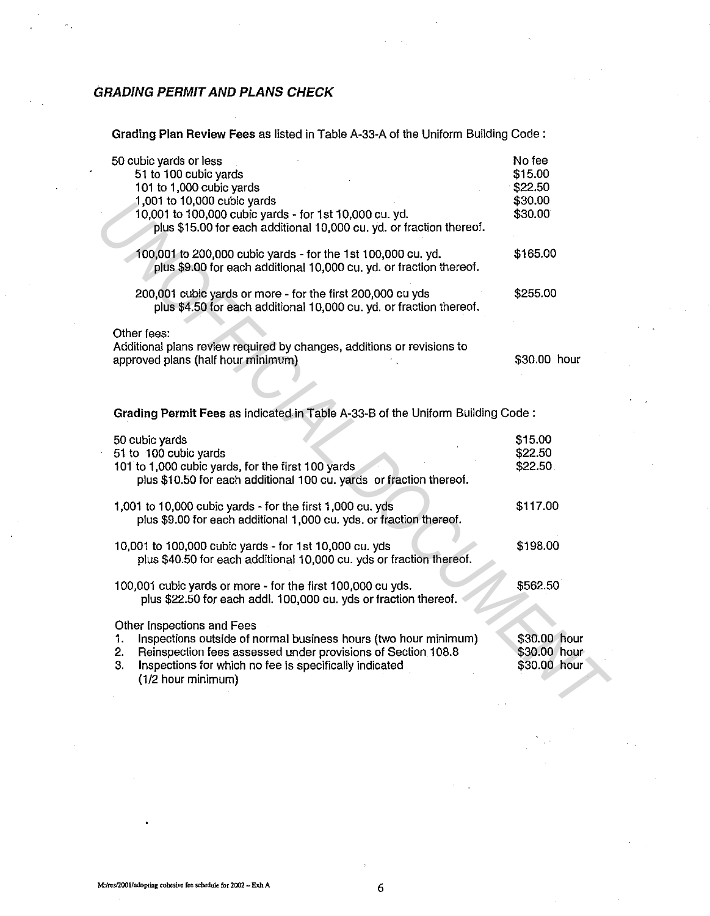# GRADING PERMIT AND PLANS CHECK

Grading Plan Review Fees as listed in Table A-33-A of the Uniform Building Code :

| 50 cubic yards or less<br>51 to 100 cubic yards<br>101 to 1,000 cubic yards<br>1,001 to 10,000 cubic yards<br>10,001 to 100,000 cubic yards - for 1st 10,000 cu. yd.<br>plus \$15.00 for each additional 10,000 cu. yd. or fraction thereof.                    | No fee<br>\$15.00<br>\$22.50<br>\$30.00<br>\$30.00 |
|-----------------------------------------------------------------------------------------------------------------------------------------------------------------------------------------------------------------------------------------------------------------|----------------------------------------------------|
| 100,001 to 200,000 cubic yards - for the 1st 100,000 cu. yd.<br>plus \$9.00 for each additional 10,000 cu. yd. or fraction thereof.                                                                                                                             | \$165.00                                           |
| 200,001 cubic yards or more - for the first 200,000 cu yds<br>plus \$4.50 for each additional 10,000 cu. yd. or fraction thereof.                                                                                                                               | \$255.00                                           |
| Other fees:<br>Additional plans review required by changes, additions or revisions to<br>approved plans (half hour minimum)                                                                                                                                     | \$30.00 hour                                       |
| Grading Permit Fees as indicated in Table A-33-B of the Uniform Building Code:                                                                                                                                                                                  |                                                    |
| 50 cubic yards<br>51 to 100 cubic yards<br>101 to 1,000 cubic yards, for the first 100 yards<br>plus \$10.50 for each additional 100 cu. yards or fraction thereof.                                                                                             | \$15.00<br>\$22.50<br>\$22.50                      |
| 1,001 to 10,000 cubic yards - for the first 1,000 cu. yds<br>plus \$9.00 for each additional 1,000 cu. yds. or fraction thereof.                                                                                                                                | \$117.00                                           |
| 10,001 to 100,000 cubic yards - for 1st 10,000 cu. yds<br>plus \$40.50 for each additional 10,000 cu. yds or fraction thereof.                                                                                                                                  | \$198.00                                           |
| 100,001 cubic yards or more - for the first 100,000 cu yds.<br>plus \$22.50 for each addl. 100,000 cu. yds or fraction thereof.                                                                                                                                 | \$562.50                                           |
| Other Inspections and Fees<br>Inspections outside of normal business hours (two hour minimum)<br>1.<br>Reinspection fees assessed under provisions of Section 108.8<br>2.<br>Inspections for which no fee is specifically indicated<br>3.<br>(1/2 hour minimum) | \$30.00 hour<br>\$30.00 hour<br>\$30.00 hour       |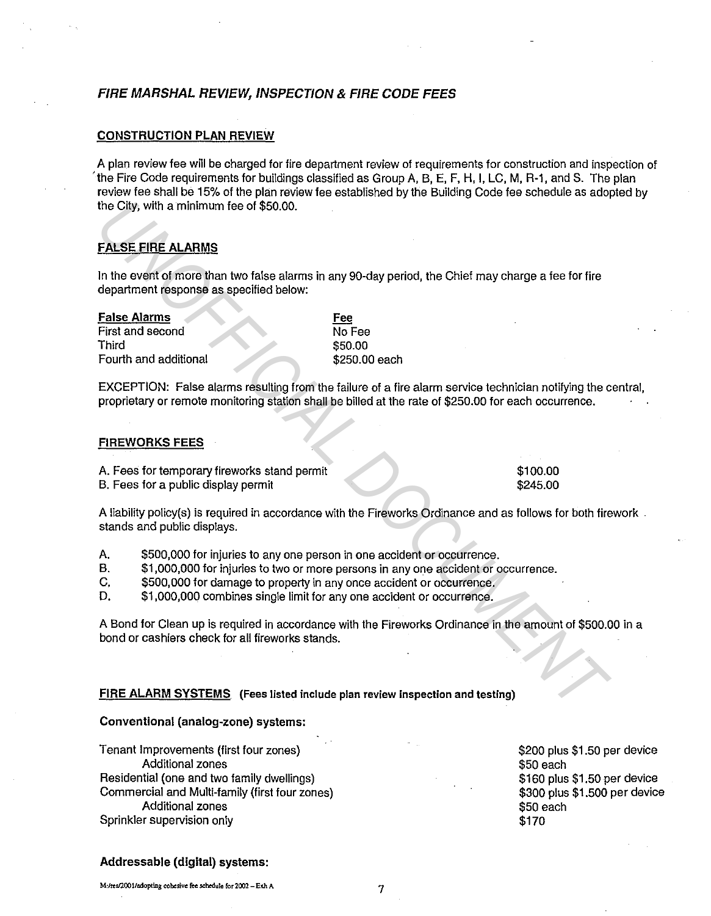## FIRE MARSHAL REVIEW, INSPECTION & FIRE CODE FEES

### CONSTRUCTION PLAN REVIEW

A plan review fee will be charged for fire department review of requirements for construction and inspection of 'the Fire Code requirements for buildings classified as Group A, B, E, F, H, I, LC, M, R-1, and S. The plan review fee shall be 15% of the plan review fee established by the Building Code fee schedule as adopted by the City, with a minimum fee of \$50.00.

## FALSE FIRE ALARMS

| <b>False Alarms</b>   |
|-----------------------|
| First and second      |
| Third                 |
| Fourth and additional |

EXCEPTION: False alarms resulting from the failure of a fire alarm service technician notifying the central, proprietary or remote monitoring station shall be billed at the rate of \$250.00 for each occurrence.

### FIREWORKS FEES

| the City, with a minimum fee of \$50.00.                                                                                                                                                                                                         |                                                                                                                                                                                                                                                      |
|--------------------------------------------------------------------------------------------------------------------------------------------------------------------------------------------------------------------------------------------------|------------------------------------------------------------------------------------------------------------------------------------------------------------------------------------------------------------------------------------------------------|
| <b>FALSE FIRE ALARMS</b>                                                                                                                                                                                                                         |                                                                                                                                                                                                                                                      |
| department response as specified below:                                                                                                                                                                                                          | In the event of more than two false alarms in any 90-day period, the Chief may charge a fee for fire                                                                                                                                                 |
| <b>False Alarms</b><br>Fee<br>First and second<br>Third<br>Fourth and additional                                                                                                                                                                 | No Fee<br>\$50.00<br>\$250.00 each<br>EXCEPTION: False alarms resulting from the failure of a fire alarm service technician notifying the c<br>proprietary or remote monitoring station shall be billed at the rate of \$250.00 for each occurrence. |
| <b>FIREWORKS FEES</b>                                                                                                                                                                                                                            |                                                                                                                                                                                                                                                      |
| A. Fees for temporary fireworks stand permit<br>B. Fees for a public display permit                                                                                                                                                              | \$100.00<br>\$245.00                                                                                                                                                                                                                                 |
| stands and public displays.                                                                                                                                                                                                                      | A liability policy(s) is required in accordance with the Fireworks Ordinance and as follows for both fire                                                                                                                                            |
| \$500,000 for injuries to any one person in one accident or occurrence.<br>Α.<br>В.<br>C,<br>\$500,000 for damage to property in any once accident or occurrence.<br>D.<br>\$1,000,000 combines single limit for any one accident or occurrence. | \$1,000,000 for injuries to two or more persons in any one accident or occurrence.                                                                                                                                                                   |
| bond or cashiers check for all fireworks stands.                                                                                                                                                                                                 | A Bond for Clean up is required in accordance with the Fireworks Ordinance in the amount of \$500.0                                                                                                                                                  |
| <b>FIRE ALARM SYSTEMS</b> (Fees listed include plan review inspection and testing)                                                                                                                                                               |                                                                                                                                                                                                                                                      |

A liability policy(s) is required in accordance with the Fireworks Ordinance and as follows for both firework . stands and public displays.

- A. \$500,000 for injuries to any one person in one accident or occurrence.
- B. \$1,000,000 for injuries to two or more persons in any one accident or occurrence.
- C. \$500,000 for damage to property in any once accident or occurrence.

A Bond for Clean up is required in accordance with the Fireworks Ordinance in the amount ol \$500.00 in a bond or cashiers check for all fireworks stands.

#### FIRE ALARM SYSTEMS (Fees listed include plan review inspection and testing)

#### Conventional (analog-zone) systems:

Tenant Improvements (first four zones) Additional zones Residential (one and two family dwellings) Commercial and Multi-family (first four zones) Additional zones Sprinkler supervision only

\$200 plus \$1.50 per device \$50 each \$160 plus \$1.50 per device \$300 plus \$1.500 per device \$50 each \$170

### Addressable (digital) systems: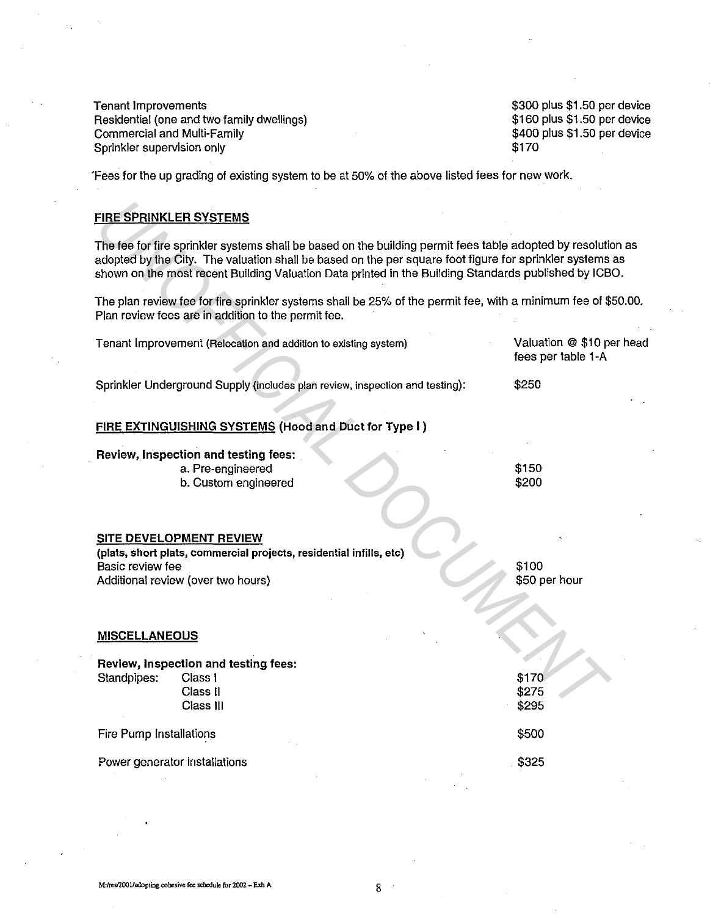Tenant Improvements Residential (one and two family dwellings) Commercial and Multi-Family Sprinkler supervision only

\$300 plus \$1.50 per device \$160 plus \$1.50 per device \$400 plus \$1.50 per device \$170

'Fees for the up grading of existing system to be at 50% of the above listed fees for new work.

## FIRE SPRINKLER SYSTEMS

| <b>FIRE SPRINKLER SYSTEMS</b>                                                                                                                                                                                                                                                                                                     |                                                 |
|-----------------------------------------------------------------------------------------------------------------------------------------------------------------------------------------------------------------------------------------------------------------------------------------------------------------------------------|-------------------------------------------------|
| The fee for fire sprinkler systems shall be based on the building permit fees table adopted by resolution as<br>adopted by the City. The valuation shall be based on the per square foot figure for sprinkler systems as<br>shown on the most recent Building Valuation Data printed in the Building Standards published by ICBO. |                                                 |
| The plan review fee for fire sprinkler systems shall be 25% of the permit fee, with a minimum fee of \$50.00.<br>Plan review fees are in addition to the permit fee.                                                                                                                                                              |                                                 |
| Tenant Improvement (Relocation and addition to existing system)                                                                                                                                                                                                                                                                   | Valuation @ \$10 per head<br>fees per table 1-A |
| Sprinkler Underground Supply (includes plan review, inspection and testing):                                                                                                                                                                                                                                                      | \$250                                           |
| FIRE EXTINGUISHING SYSTEMS (Hood and Duct for Type I)                                                                                                                                                                                                                                                                             |                                                 |
| Review, Inspection and testing fees:<br>a. Pre-engineered<br>b. Custom engineered                                                                                                                                                                                                                                                 | \$150<br>\$200                                  |
| SITE DEVELOPMENT REVIEW<br>(plats, short plats, commercial projects, residential infills, etc)<br>Basic review fee<br>Additional review (over two hours)                                                                                                                                                                          | \$100<br>\$50 per hour                          |
| <b>MISCELLANEOUS</b>                                                                                                                                                                                                                                                                                                              |                                                 |
| Review, Inspection and testing fees:<br>Standpipes:<br>Class I<br>Class II<br>Class III                                                                                                                                                                                                                                           | \$170<br>\$275<br>\$295                         |
| Fire Pump Installations                                                                                                                                                                                                                                                                                                           | \$500                                           |
| Power generator installations                                                                                                                                                                                                                                                                                                     | \$325                                           |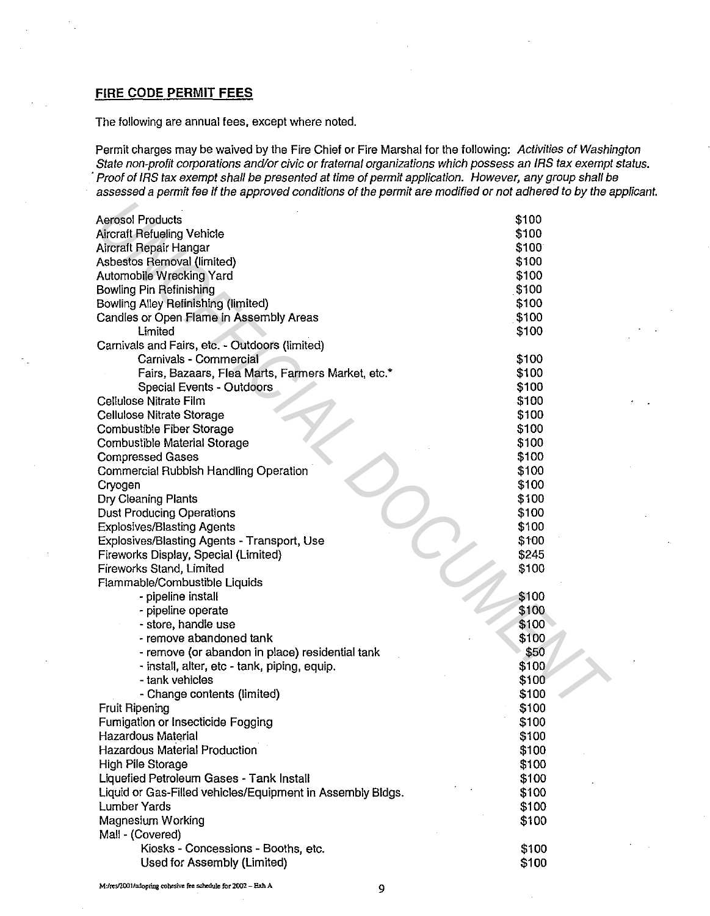# **FIRE CODE PERMIT FEES**

The following are annual fees, except where noted.

Permit charges may be waived by the Fire Chief or Fire Marshal for the following: Activities of Washington State non-profit corporations and/or civic or fraternal organizations which possess an IRS tax exempt status. ·Proof of IRS tax exempt shall be presented at time of permit application. However, any group shall be assessed a permit fee if the approved conditions of the permit are modified or not adhered to by the applicant.

| <b>Aerosol Products</b>                                    | \$100 |
|------------------------------------------------------------|-------|
| <b>Aircraft Refueling Vehicle</b>                          | \$100 |
| Aircraft Repair Hangar                                     | \$100 |
| Asbestos Removal (limited)                                 | \$100 |
| Automobile Wrecking Yard                                   | \$100 |
| Bowling Pin Refinishing                                    | \$100 |
| Bowling Alley Refinishing (limited)                        | \$100 |
| Candles or Open Flame in Assembly Areas                    | \$100 |
| Limited                                                    | \$100 |
| Carnivals and Fairs, etc. - Outdoors (limited)             |       |
| Carnivals - Commercial                                     | \$100 |
| Fairs, Bazaars, Flea Marts, Farmers Market, etc.*          | \$100 |
| Special Events - Outdoors                                  | \$100 |
| Cellulose Nitrate Film                                     | \$100 |
| Cellulose Nitrate Storage                                  | \$100 |
| Combustible Fiber Storage                                  | \$100 |
| Combustible Material Storage                               | \$100 |
| <b>Compressed Gases</b>                                    | \$100 |
| Commercial Rubbish Handling Operation                      | \$100 |
| Cryogen                                                    | \$100 |
| Dry Cleaning Plants                                        | \$100 |
| <b>Dust Producing Operations</b>                           | \$100 |
| <b>Explosives/Blasting Agents</b>                          | \$100 |
| Explosives/Blasting Agents - Transport, Use                | \$100 |
| Fireworks Display, Special (Limited)                       | \$245 |
| Fireworks Stand, Limited                                   | \$100 |
| Flammable/Combustible Liquids                              |       |
| - pipeline install                                         | \$100 |
| - pipeline operate                                         | \$100 |
| - store, handle use                                        | \$100 |
| - remove abandoned tank                                    | \$100 |
| - remove (or abandon in place) residential tank            | \$50  |
| - install, alter, etc - tank, piping, equip.               | \$100 |
| - tank vehicles                                            | \$100 |
| - Change contents (limited)                                | \$100 |
| <b>Fruit Ripening</b>                                      | \$100 |
| Fumigation or Insecticide Fogging                          | \$100 |
| <b>Hazardous Material</b>                                  | \$100 |
| Hazardous Material Production                              | \$100 |
| High Pile Storage                                          | \$100 |
| Liquefied Petroleum Gases - Tank Install                   | \$100 |
| Liquid or Gas-Filled vehicles/Equipment in Assembly Bidgs. | \$100 |
| <b>Lumber Yards</b>                                        | \$100 |
| Magnesium Working                                          | \$100 |
| Mall - (Covered)                                           |       |
| Kiosks - Concessions - Booths, etc.                        | \$100 |
| Used for Assembly (Limited)                                | \$100 |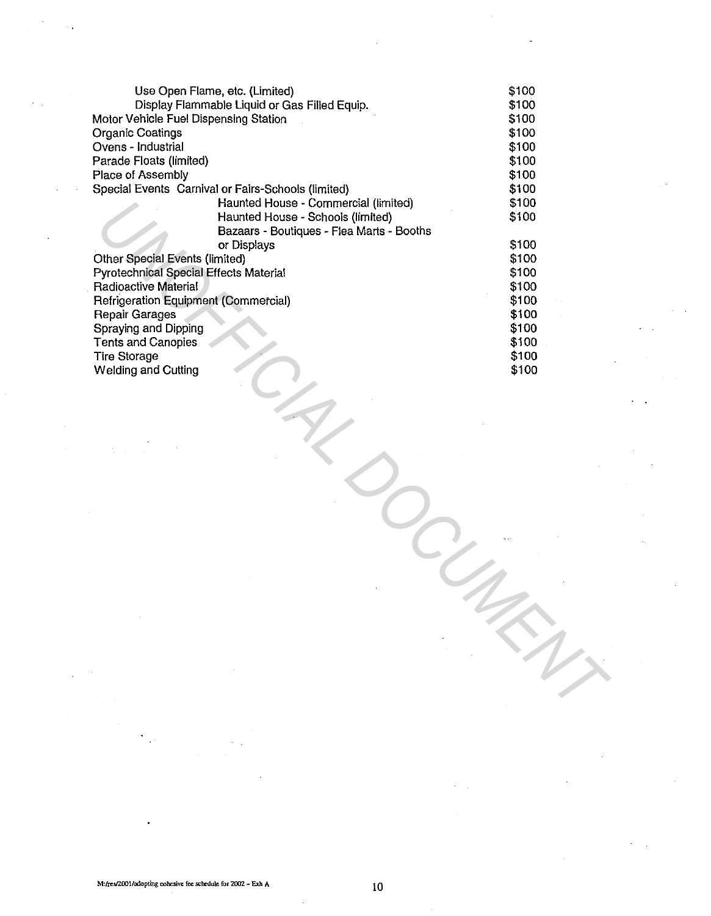|                                        | Use Open Flame, etc. (Limited)                     | \$100 |
|----------------------------------------|----------------------------------------------------|-------|
|                                        | Display Flammable Liquid or Gas Filled Equip.      | \$100 |
| Motor Vehicle Fuel Dispensing Station  |                                                    | \$100 |
| <b>Organic Coatings</b>                |                                                    | \$100 |
| Ovens - Industrial                     |                                                    | \$100 |
| Parade Floats (limited)                |                                                    | \$100 |
| Place of Assembly                      |                                                    | \$100 |
|                                        | Special Events Carnival or Fairs-Schools (limited) | \$100 |
|                                        | Haunted House - Commercial (limited)               | \$100 |
|                                        | Haunted House - Schools (limited)                  | \$100 |
|                                        | Bazaars - Boutiques - Flea Marts - Booths          |       |
|                                        | or Displays                                        | \$100 |
| <b>Other Special Events (limited)</b>  |                                                    | \$100 |
| Pyrotechnical Special Effects Material |                                                    | \$100 |
| <b>Radioactive Material</b>            |                                                    | \$100 |
| Refrigeration Equipment (Commercial)   |                                                    | \$100 |
| Repair Garages                         |                                                    | \$100 |
| Spraying and Dipping                   |                                                    | \$100 |
|                                        |                                                    | \$100 |
| <b>Tents and Canopies</b>              |                                                    | \$100 |
| <b>Tire Storage</b>                    |                                                    |       |
| <b>Welding and Cutting</b>             |                                                    | \$100 |
|                                        |                                                    |       |
|                                        |                                                    |       |
|                                        |                                                    |       |
|                                        |                                                    |       |
|                                        |                                                    |       |
|                                        |                                                    |       |
|                                        |                                                    |       |
|                                        |                                                    |       |
|                                        |                                                    |       |
|                                        |                                                    |       |
|                                        |                                                    |       |
|                                        |                                                    |       |
|                                        |                                                    |       |
|                                        |                                                    |       |
|                                        |                                                    |       |
|                                        |                                                    |       |
|                                        |                                                    |       |
|                                        |                                                    |       |
|                                        |                                                    |       |
|                                        |                                                    |       |
|                                        |                                                    |       |
|                                        |                                                    |       |
|                                        |                                                    |       |
|                                        |                                                    |       |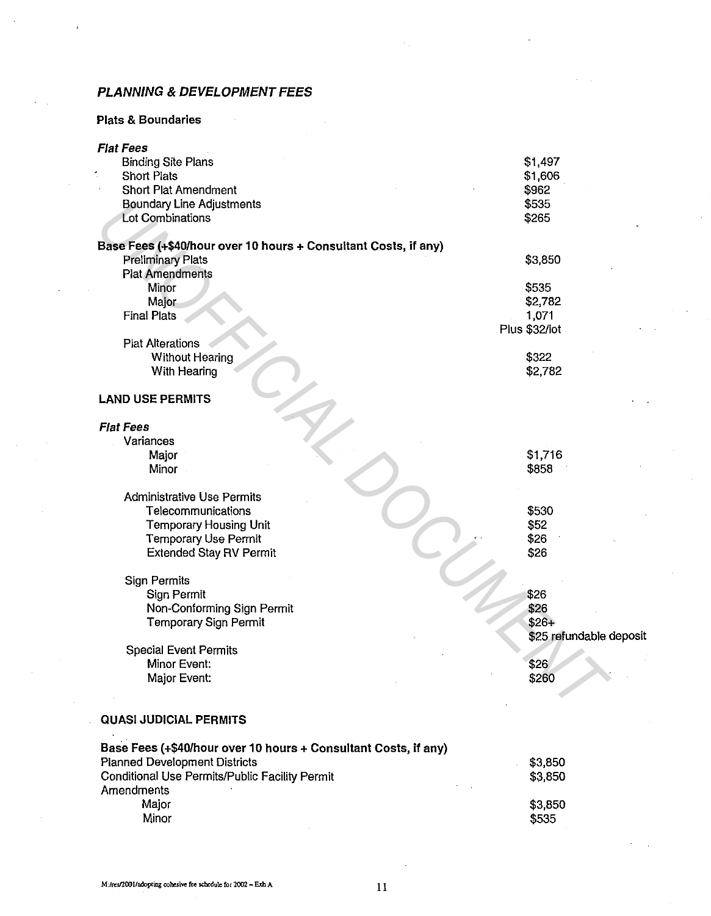# **PLANNING & DEVELOPMENT FEES**

# **Plats & Boundaries**

| <b>Flat Fees</b>                                                |                         |
|-----------------------------------------------------------------|-------------------------|
| <b>Binding Site Plans</b>                                       | \$1,497                 |
| <b>Short Plats</b>                                              | \$1,606                 |
| <b>Short Plat Amendment</b>                                     | \$962                   |
| <b>Boundary Line Adjustments</b>                                | \$535                   |
| <b>Lot Combinations</b>                                         | \$265                   |
|                                                                 |                         |
| Base Fees (+\$40/hour over 10 hours + Consultant Costs, if any) |                         |
| <b>Preliminary Plats</b>                                        | \$3,850                 |
| <b>Plat Amendments</b>                                          |                         |
| Minor                                                           | \$535                   |
| Major                                                           | \$2,782                 |
| <b>Final Plats</b>                                              | 1,071                   |
|                                                                 | Plus \$32/lot           |
| <b>Plat Alterations</b>                                         |                         |
| <b>Without Hearing</b>                                          | \$322                   |
| With Hearing                                                    | \$2,782                 |
|                                                                 |                         |
| <b>LAND USE PERMITS</b>                                         |                         |
|                                                                 |                         |
| <b>Flat Fees</b>                                                |                         |
| Variances                                                       |                         |
| Major                                                           | \$1,716                 |
| Minor                                                           | \$858                   |
| <b>Administrative Use Permits</b>                               |                         |
| Telecommunications                                              | \$530                   |
| <b>Temporary Housing Unit</b>                                   | \$52                    |
| <b>Temporary Use Permit</b>                                     | \$26                    |
| <b>Extended Stay RV Permit</b>                                  | \$26                    |
|                                                                 |                         |
| <b>Sign Permits</b>                                             |                         |
| Sign Permit                                                     | \$26                    |
| Non-Conforming Sign Permit                                      | \$26                    |
| <b>Temporary Sign Permit</b>                                    | $$26+$                  |
|                                                                 | \$25 refundable deposit |
| <b>Special Event Permits</b>                                    |                         |
| Minor Event:                                                    | \$26                    |
| Major Event:                                                    | \$260                   |
|                                                                 |                         |
|                                                                 |                         |
| <b>QUASI JUDICIAL PERMITS</b>                                   |                         |
|                                                                 |                         |
| Base Fees (+\$40/hour over 10 hours + Consultant Costs, if any) |                         |
| <b>Planned Development Districts</b>                            | \$3,850                 |
| Conditional Use Permits/Public Facility Permit                  | \$3,850                 |
| Amendments                                                      |                         |
| Major                                                           | \$3,850                 |
| Minor                                                           | \$535                   |
|                                                                 |                         |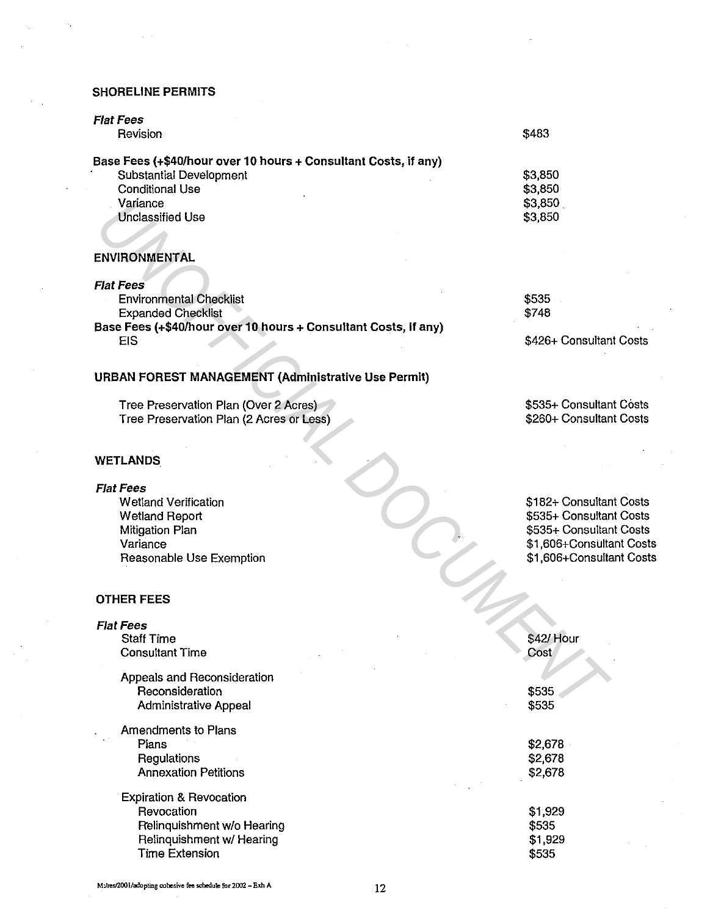### SHORELINE PERMITS

| <b>Flat Fees</b><br>Revision                                    | \$483   |
|-----------------------------------------------------------------|---------|
| Base Fees (+\$40/hour over 10 hours + Consultant Costs, if any) |         |
| Substantial Development                                         | \$3,850 |
| Conditional Use                                                 | \$3,850 |
| Variance                                                        | \$3,850 |
| <b>Unclassified Use</b>                                         | \$3,850 |
|                                                                 |         |
| <b>ENVIRONMENTAL</b>                                            |         |

| <b>Flat Fees</b>                                                |                         |
|-----------------------------------------------------------------|-------------------------|
| <b>Environmental Checklist</b>                                  | \$535                   |
| <b>Expanded Checklist</b>                                       | \$748                   |
| Base Fees (+\$40/hour over 10 hours + Consultant Costs, if any) |                         |
| EIS                                                             | \$426+ Consultant Costs |

### URBAN FOREST MANAGEMENT {Administrative Use Permit)

\$535+ Consultant Costs \$260+ Consultant Costs

\$182+ Consultant Costs \$535+ Consultant Costs \$535+ Consultant Costs \$1,606+Consultant Costs \$1,606+Consultant Costs

#### WETLANDS

#### Flat Fees

### OTHER FEES

| Variance<br><b>Unclassified Use</b>                                               | \$3,850<br>\$3,850                   |
|-----------------------------------------------------------------------------------|--------------------------------------|
| ENVIRONMENTAL                                                                     |                                      |
| <b>Flat Fees</b>                                                                  |                                      |
| <b>Environmental Checklist</b>                                                    | \$535                                |
| <b>Expanded Checklist</b>                                                         | \$748                                |
| Base Fees (+\$40/hour over 10 hours + Consultant Costs, if any)<br><b>EIS</b>     | \$426+ Consultan                     |
| URBAN FOREST MANAGEMENT (Administrative Use Permit)                               |                                      |
| Tree Preservation Plan (Over 2 Acres)<br>Tree Preservation Plan (2 Acres or Less) | \$535+ Consultan<br>\$260+ Consultan |
| WETLANDS                                                                          |                                      |
| Flat Fees                                                                         |                                      |
| <b>Wetland Verification</b>                                                       | \$182+ Consultar                     |
| <b>Wetland Report</b>                                                             | \$535+ Consultar                     |
| Mitigation Plan                                                                   | \$535+ Consultar                     |
| Variance                                                                          | \$1,606+Consulta                     |
| Reasonable Use Exemption                                                          | \$1,606+Consulta                     |
| <b>OTHER FEES</b>                                                                 |                                      |
| <b>Flat Fees</b>                                                                  |                                      |
| <b>Staff Time</b>                                                                 | \$42/ Hour                           |
| <b>Consultant Time</b>                                                            | Cost                                 |
| Appeals and Reconsideration                                                       |                                      |
| Reconsideration                                                                   | \$535                                |
| <b>Administrative Appeal</b>                                                      | \$535                                |
| Amendments to Plans                                                               |                                      |
| Plans                                                                             | \$2,678                              |
| Regulations                                                                       | \$2,678                              |
| <b>Annexation Petitions</b>                                                       | \$2,678                              |
| <b>Expiration &amp; Revocation</b>                                                |                                      |
| Revocation                                                                        | \$1,929                              |
| Relinquishment w/o Hearing                                                        | \$535                                |
| Relinquishment w/ Hearing                                                         | \$1,929                              |
| <b>Time Extension</b>                                                             | \$535                                |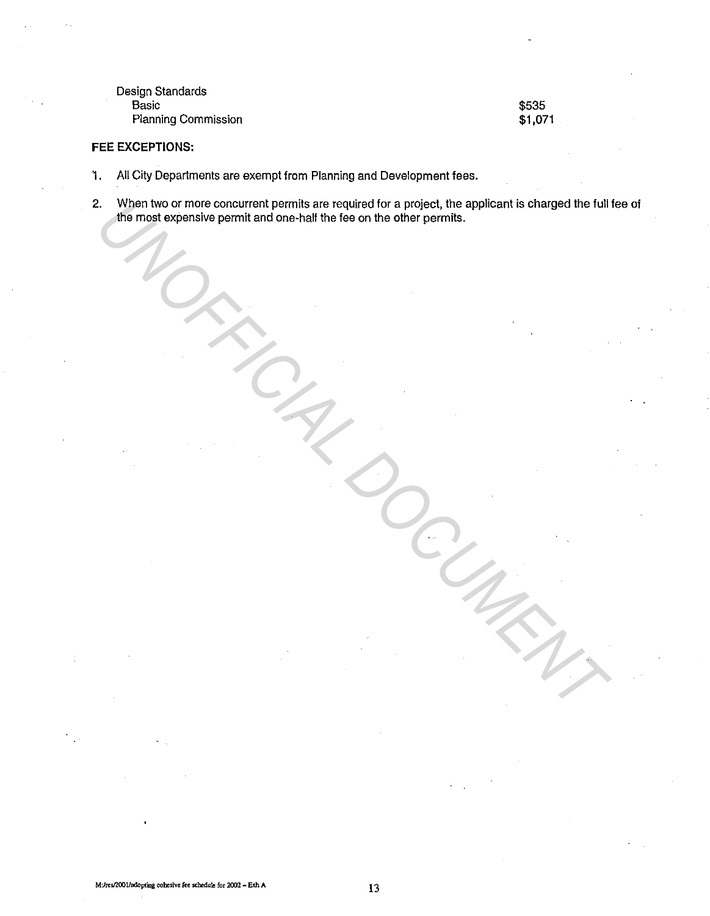Design Standards **Basic** Planning Commission

\$535 \$1,071

### **FEE EXCEPTIONS:**

- 1. All City Departments are exempt from Planning and Development fees.
- 2. When two or more concurrent permits are required for a project, the applicant is charged the full fee of the most expensive permit and one-half the fee on the other permits. *U* When two or more concurrent permits are required for a project, the applicant is charged the full:<br>
this most expensive permit and one-half the fee on the other pormits.<br>
The most expensive permit and one-half the fee